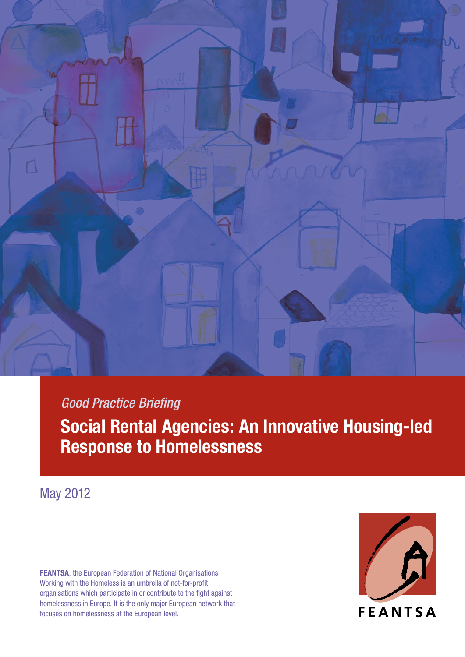

*Good Practice Briefing*  **Social Rental Agencies: An Innovative Housing-led Response to Homelessness**

May 2012

**FEANTSA**, the European Federation of National Organisations Working with the Homeless is an umbrella of not-for-profit organisations which participate in or contribute to the fight against homelessness in Europe. It is the only major European network that focuses on homelessness at the European level.

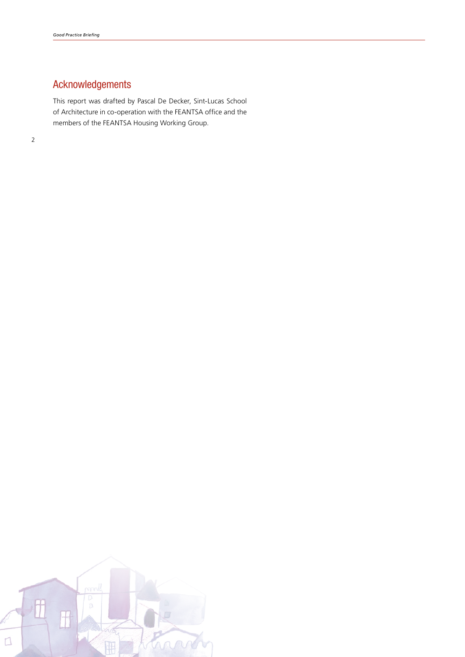## Acknowledgements

This report was drafted by Pascal De Decker, Sint-Lucas School of Architecture in co-operation with the FEANTSA office and the members of the FEANTSA Housing Working Group.

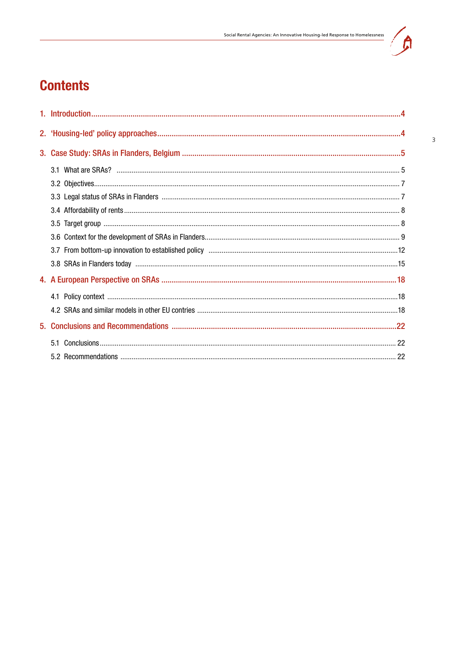

 $\overline{3}$ 

# **Contents**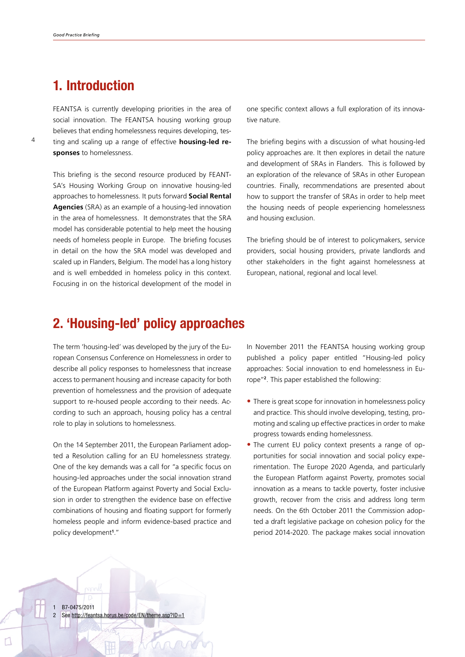4

## <span id="page-3-0"></span>**1. Introduction**

FEANTSA is currently developing priorities in the area of social innovation. The FEANTSA housing working group believes that ending homelessness requires developing, testing and scaling up a range of effective **housing-led responses** to homelessness.

This briefing is the second resource produced by FEANT-SA's Housing Working Group on innovative housing-led approaches to homelessness. It puts forward **Social Rental Agencies** (SRA) as an example of a housing-led innovation in the area of homelessness. It demonstrates that the SRA model has considerable potential to help meet the housing needs of homeless people in Europe. The briefing focuses in detail on the how the SRA model was developed and scaled up in Flanders, Belgium. The model has a long history and is well embedded in homeless policy in this context. Focusing in on the historical development of the model in one specific context allows a full exploration of its innovative nature.

The briefing begins with a discussion of what housing-led policy approaches are. It then explores in detail the nature and development of SRAs in Flanders. This is followed by an exploration of the relevance of SRAs in other European countries. Finally, recommendations are presented about how to support the transfer of SRAs in order to help meet the housing needs of people experiencing homelessness and housing exclusion.

The briefing should be of interest to policymakers, service providers, social housing providers, private landlords and other stakeholders in the fight against homelessness at European, national, regional and local level.

## **2. 'Housing-led' policy approaches**

The term 'housing-led' was developed by the jury of the European Consensus Conference on Homelessness in order to describe all policy responses to homelessness that increase access to permanent housing and increase capacity for both prevention of homelessness and the provision of adequate support to re-housed people according to their needs. According to such an approach, housing policy has a central role to play in solutions to homelessness.

On the 14 September 2011, the European Parliament adopted a Resolution calling for an EU homelessness strategy. One of the key demands was a call for "a specific focus on housing-led approaches under the social innovation strand of the European Platform against Poverty and Social Exclusion in order to strengthen the evidence base on effective combinations of housing and floating support for formerly homeless people and inform evidence-based practice and policy development**<sup>1</sup>** ."

AN

In November 2011 the FEANTSA housing working group published a policy paper entitled "Housing-led policy approaches: Social innovation to end homelessness in Europe"**2**. This paper established the following:

- **•** There is great scope for innovation in homelessness policy and practice. This should involve developing, testing, promoting and scaling up effective practices in order to make progress towards ending homelessness.
- The current EU policy context presents a range of opportunities for social innovation and social policy experimentation. The Europe 2020 Agenda, and particularly the European Platform against Poverty, promotes social innovation as a means to tackle poverty, foster inclusive growth, recover from the crisis and address long term needs. On the 6th October 2011 the Commission adopted a draft legislative package on cohesion policy for the period 2014-2020. The package makes social innovation

1 B7-0475/2011 See http://feantsa.horus.be/code/EN/theme.asp?ID=1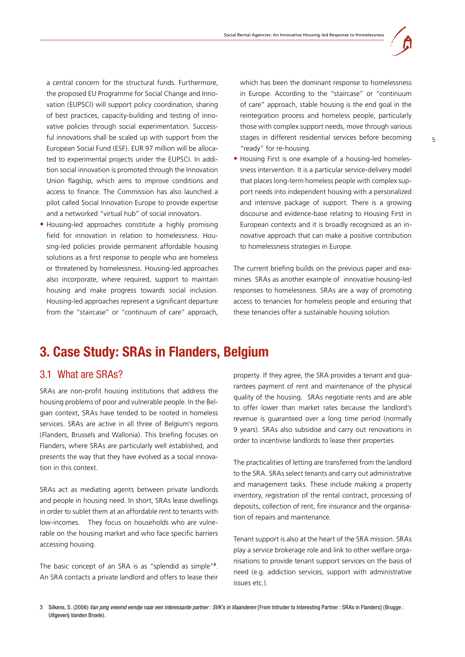

<span id="page-4-0"></span>a central concern for the structural funds. Furthermore, the proposed EU Programme for Social Change and Innovation (EUPSCI) will support policy coordination, sharing of best practices, capacity-building and testing of innovative policies through social experimentation. Successful innovations shall be scaled up with support from the European Social Fund (ESF). EUR 97 million will be allocated to experimental projects under the EUPSCI. In addition social innovation is promoted through the Innovation Union flagship, which aims to improve conditions and access to finance. The Commission has also launched a pilot called Social Innovation Europe to provide expertise and a networked "virtual hub" of social innovators.

**•** Housing-led approaches constitute a highly promising field for innovation in relation to homelessness. Housing-led policies provide permanent affordable housing solutions as a first response to people who are homeless or threatened by homelessness. Housing-led approaches also incorporate, where required, support to maintain housing and make progress towards social inclusion. Housing-led approaches represent a significant departure from the "staircase" or "continuum of care" approach, which has been the dominant response to homelessness in Europe. According to the "staircase" or "continuum of care" approach, stable housing is the end goal in the reintegration process and homeless people, particularly those with complex support needs, move through various stages in different residential services before becoming "ready" for re-housing.

• Housing First is one example of a housing-led homelessness intervention. It is a particular service-delivery model that places long-term homeless people with complex support needs into independent housing with a personalized and intensive package of support. There is a growing discourse and evidence-base relating to Housing First in European contexts and it is broadly recognized as an innovative approach that can make a positive contribution to homelessness strategies in Europe.

The current briefing builds on the previous paper and examines SRAs as another example of innovative housing-led responses to homelessness. SRAs are a way of promoting access to tenancies for homeless people and ensuring that these tenancies offer a sustainable housing solution.

## **3. Case Study: SRAs in Flanders, Belgium**

### 3.1 What are SRAs?

SRAs are non-profit housing institutions that address the housing problems of poor and vulnerable people. In the Belgian context, SRAs have tended to be rooted in homeless services. SRAs are active in all three of Belgium's regions (Flanders, Brussels and Wallonia). This briefing focuses on Flanders, where SRAs are particularly well established, and presents the way that they have evolved as a social innovation in this context.

SRAs act as mediating agents between private landlords and people in housing need. In short, SRAs lease dwellings in order to sublet them at an affordable rent to tenants with low-incomes. They focus on households who are vulnerable on the housing market and who face specific barriers accessing housing.

The basic concept of an SRA is as "splendid as simple"**<sup>3</sup>**. An SRA contacts a private landlord and offers to lease their property. If they agree, the SRA provides a tenant and guarantees payment of rent and maintenance of the physical quality of the housing. SRAs negotiate rents and are able to offer lower than market rates because the landlord's revenue is guaranteed over a long time period (normally 9 years). SRAs also subsidise and carry out renovations in order to incentivise landlords to lease their properties.

The practicalities of letting are transferred from the landlord to the SRA. SRAs select tenants and carry out administrative and management tasks. These include making a property inventory, registration of the rental contract, processing of deposits, collection of rent, fire insurance and the organisation of repairs and maintenance.

Tenant support is also at the heart of the SRA mission. SRAs play a service brokerage role and link to other welfare organisations to provide tenant support services on the basis of need (e.g. addiction services, support with administrative issues etc.).

3 Silkens, S. (2006) *Van jong vreemd eendje naar een interessante partner : SVK's in Vlaanderen* [From Intruder to Interesting Partner : SRAs in Flanders] (Brugge : Uitgeverij Vanden Broele).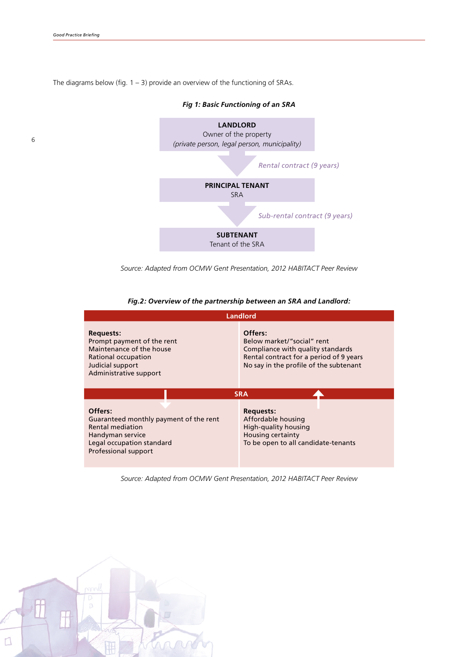The diagrams below (fig.  $1 - 3$ ) provide an overview of the functioning of SRAs.



*Fig 1: Basic Functioning of an SRA*

*Source: Adapted from OCMW Gent Presentation, 2012 HABITACT Peer Review* 

#### *Fig.2: Overview of the partnership between an SRA and Landlord:*

| <b>Landlord</b>                                                                                                                                       |                                                                                                                                                                 |  |
|-------------------------------------------------------------------------------------------------------------------------------------------------------|-----------------------------------------------------------------------------------------------------------------------------------------------------------------|--|
| <b>Requests:</b><br>Prompt payment of the rent<br>Maintenance of the house<br>Rational occupation<br>Judicial support<br>Administrative support       | Offers:<br>Below market/"social" rent<br>Compliance with quality standards<br>Rental contract for a period of 9 years<br>No say in the profile of the subtenant |  |
| <b>SRA</b>                                                                                                                                            |                                                                                                                                                                 |  |
| Offers:<br>Guaranteed monthly payment of the rent<br><b>Rental mediation</b><br>Handyman service<br>Legal occupation standard<br>Professional support | <b>Requests:</b><br>Affordable housing<br>High-quality housing<br>Housing certainty<br>To be open to all candidate-tenants                                      |  |

*Source: Adapted from OCMW Gent Presentation, 2012 HABITACT Peer Review*

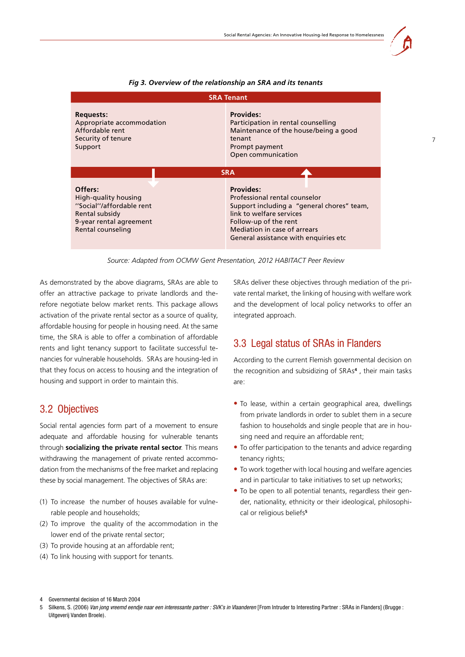7

<span id="page-6-0"></span>

| <b>SRA Tenant</b>                                                                                                                                                                                                                                       |                                                                                                                                                                                                                                |  |
|---------------------------------------------------------------------------------------------------------------------------------------------------------------------------------------------------------------------------------------------------------|--------------------------------------------------------------------------------------------------------------------------------------------------------------------------------------------------------------------------------|--|
| <b>Provides:</b><br><b>Requests:</b><br>Appropriate accommodation<br>Participation in rental counselling<br>Affordable rent<br>Maintenance of the house/being a good<br>Security of tenure<br>tenant<br>Support<br>Prompt payment<br>Open communication |                                                                                                                                                                                                                                |  |
| <b>SRA</b>                                                                                                                                                                                                                                              |                                                                                                                                                                                                                                |  |
| Offers:<br>High-quality housing<br>"Social"/affordable rent<br>Rental subsidy<br>9-year rental agreement<br>Rental counseling                                                                                                                           | <b>Provides:</b><br>Professional rental counselor<br>Support including a "general chores" team,<br>link to welfare services<br>Follow-up of the rent<br>Mediation in case of arrears<br>General assistance with enquiries etc. |  |

#### *Fig 3. Overview of the relationship an SRA and its tenants*

*Source: Adapted from OCMW Gent Presentation, 2012 HABITACT Peer Review*

As demonstrated by the above diagrams, SRAs are able to offer an attractive package to private landlords and therefore negotiate below market rents. This package allows activation of the private rental sector as a source of quality, affordable housing for people in housing need. At the same time, the SRA is able to offer a combination of affordable rents and light tenancy support to facilitate successful tenancies for vulnerable households. SRAs are housing-led in that they focus on access to housing and the integration of housing and support in order to maintain this.

### 3.2 Objectives

Social rental agencies form part of a movement to ensure adequate and affordable housing for vulnerable tenants through **socializing the private rental sector***.* This means withdrawing the management of private rented accommodation from the mechanisms of the free market and replacing these by social management. The objectives of SRAs are:

- (1) To increase the number of houses available for vulnerable people and households;
- (2) To improve the quality of the accommodation in the lower end of the private rental sector;
- (3) To provide housing at an affordable rent;
- (4) To link housing with support for tenants.

SRAs deliver these objectives through mediation of the private rental market, the linking of housing with welfare work and the development of local policy networks to offer an integrated approach.

### 3.3 Legal status of SRAs in Flanders

According to the current Flemish governmental decision on the recognition and subsidizing of SRAs**<sup>4</sup>** , their main tasks are:

- **•** To lease, within a certain geographical area, dwellings from private landlords in order to sublet them in a secure fashion to households and single people that are in housing need and require an affordable rent;
- To offer participation to the tenants and advice regarding tenancy rights;
- To work together with local housing and welfare agencies and in particular to take initiatives to set up networks;
- To be open to all potential tenants, regardless their gender, nationality, ethnicity or their ideological, philosophical or religious beliefs**<sup>5</sup>**

<sup>4</sup> Governmental decision of 16 March 2004

<sup>5</sup> Silkens, S. (2006) *Van jong vreemd eendje naar een interessante partner : SVK's in Vlaanderen* [From Intruder to Interesting Partner : SRAs in Flanders] (Brugge : Uitgeverij Vanden Broele).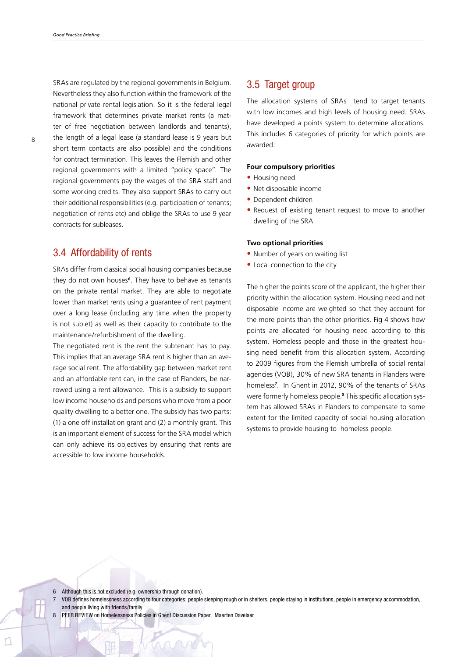<span id="page-7-0"></span>SRAs are regulated by the regional governments in Belgium. Nevertheless they also function within the framework of the national private rental legislation. So it is the federal legal framework that determines private market rents (a matter of free negotiation between landlords and tenants), the length of a legal lease (a standard lease is 9 years but short term contacts are also possible) and the conditions for contract termination. This leaves the Flemish and other regional governments with a limited "policy space". The regional governments pay the wages of the SRA staff and some working credits. They also support SRAs to carry out their additional responsibilities (e.g. participation of tenants; negotiation of rents etc) and oblige the SRAs to use 9 year contracts for subleases.

### 3.4 Affordability of rents

SRAs differ from classical social housing companies because they do not own houses**6**. They have to behave as tenants on the private rental market. They are able to negotiate lower than market rents using a guarantee of rent payment over a long lease (including any time when the property is not sublet) as well as their capacity to contribute to the maintenance/refurbishment of the dwelling.

The negotiated rent is the rent the subtenant has to pay. This implies that an average SRA rent is higher than an average social rent. The affordability gap between market rent and an affordable rent can, in the case of Flanders, be narrowed using a rent allowance. This is a subsidy to support low income households and persons who move from a poor quality dwelling to a better one. The subsidy has two parts: (1) a one off installation grant and (2) a monthly grant. This is an important element of success for the SRA model which can only achieve its objectives by ensuring that rents are accessible to low income households.

### 3.5 Target group

The allocation systems of SRAs tend to target tenants with low incomes and high levels of housing need. SRAs have developed a points system to determine allocations. This includes 6 categories of priority for which points are awarded:

#### **Four compulsory priorities**

- **•** Housing need
- **•** Net disposable income
- **•** Dependent children
- Request of existing tenant request to move to another dwelling of the SRA

#### **Two optional priorities**

- Number of years on waiting list
- Local connection to the city

The higher the points score of the applicant, the higher their priority within the allocation system. Housing need and net disposable income are weighted so that they account for the more points than the other priorities. Fig 4 shows how points are allocated for housing need according to this system. Homeless people and those in the greatest housing need benefit from this allocation system. According to 2009 figures from the Flemish umbrella of social rental agencies (VOB), 30% of new SRA tenants in Flanders were homeless**<sup>7</sup>** . In Ghent in 2012, 90% of the tenants of SRAs were formerly homeless people.**<sup>8</sup>** This specific allocation system has allowed SRAs in Flanders to compensate to some extent for the limited capacity of social housing allocation systems to provide housing to homeless people.

- 6 Although this is not excluded (e.g. ownership through donation).
- 7 VOB defines homelessness according to four categories: people sleeping rough or in shelters, people staying in institutions, people in emergency accommodation, and people living with friends/family
- 8 PEER REVIEW on Homelessness Policies in Ghent Discussion Paper, Maarten Davelaar

 $Q \cap Q$ 

8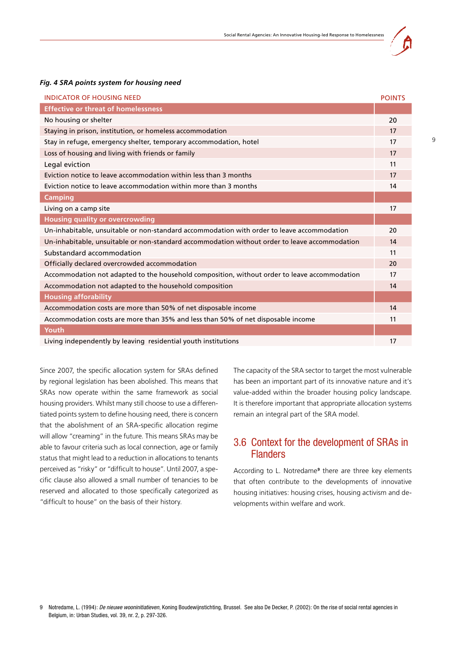

#### <span id="page-8-0"></span>*Fig. 4 SRA points system for housing need*

| <b>INDICATOR OF HOUSING NEED</b>                                                              | <b>POINTS</b> |
|-----------------------------------------------------------------------------------------------|---------------|
| <b>Effective or threat of homelessness</b>                                                    |               |
| No housing or shelter                                                                         | 20            |
| Staying in prison, institution, or homeless accommodation                                     | 17            |
| Stay in refuge, emergency shelter, temporary accommodation, hotel                             | 17            |
| Loss of housing and living with friends or family                                             | 17            |
| Legal eviction                                                                                | 11            |
| Eviction notice to leave accommodation within less than 3 months                              | 17            |
| Eviction notice to leave accommodation within more than 3 months                              | 14            |
| <b>Camping</b>                                                                                |               |
| Living on a camp site                                                                         | 17            |
| <b>Housing quality or overcrowding</b>                                                        |               |
| Un-inhabitable, unsuitable or non-standard accommodation with order to leave accommodation    | 20            |
| Un-inhabitable, unsuitable or non-standard accommodation without order to leave accommodation | 14            |
| Substandard accommodation                                                                     | 11            |
| Officially declared overcrowded accommodation                                                 | 20            |
| Accommodation not adapted to the household composition, without order to leave accommodation  | 17            |
| Accommodation not adapted to the household composition                                        | 14            |
| <b>Housing afforability</b>                                                                   |               |
| Accommodation costs are more than 50% of net disposable income                                | 14            |
| Accommodation costs are more than 35% and less than 50% of net disposable income              | 11            |
| Youth                                                                                         |               |
| Living independently by leaving residential youth institutions                                | 17            |

Since 2007, the specific allocation system for SRAs defined by regional legislation has been abolished. This means that SRAs now operate within the same framework as social housing providers. Whilst many still choose to use a differentiated points system to define housing need, there is concern that the abolishment of an SRA-specific allocation regime will allow "creaming" in the future. This means SRAs may be able to favour criteria such as local connection, age or family status that might lead to a reduction in allocations to tenants perceived as "risky" or "difficult to house". Until 2007, a specific clause also allowed a small number of tenancies to be reserved and allocated to those specifically categorized as "difficult to house" on the basis of their history.

The capacity of the SRA sector to target the most vulnerable has been an important part of its innovative nature and it's value-added within the broader housing policy landscape. It is therefore important that appropriate allocation systems remain an integral part of the SRA model.

### 3.6 Context for the development of SRAs in **Flanders**

According to L. Notredame<sup>9</sup> there are three key elements that often contribute to the developments of innovative housing initiatives: housing crises, housing activism and developments within welfare and work.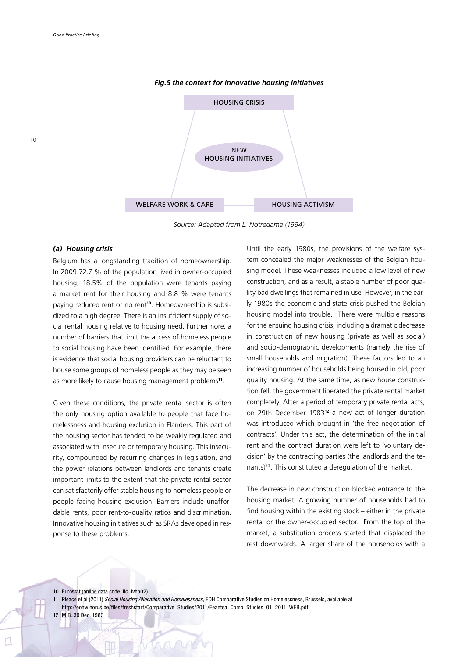10



*Fig.5 the context for innovative housing initiatives* 

*Source: Adapted from L. Notredame (1994)* 

#### *(a) Housing crisis*

Belgium has a longstanding tradition of homeownership. In 2009 72.7 % of the population lived in owner-occupied housing, 18.5% of the population were tenants paying a market rent for their housing and 8.8 % were tenants paying reduced rent or no rent**10**. Homeownership is subsidized to a high degree. There is an insufficient supply of social rental housing relative to housing need. Furthermore, a number of barriers that limit the access of homeless people to social housing have been identified. For example, there is evidence that social housing providers can be reluctant to house some groups of homeless people as they may be seen as more likely to cause housing management problems**11**.

Given these conditions, the private rental sector is often the only housing option available to people that face homelessness and housing exclusion in Flanders. This part of the housing sector has tended to be weakly regulated and associated with insecure or temporary housing. This insecurity, compounded by recurring changes in legislation, and the power relations between landlords and tenants create important limits to the extent that the private rental sector can satisfactorily offer stable housing to homeless people or people facing housing exclusion. Barriers include unaffordable rents, poor rent-to-quality ratios and discrimination. Innovative housing initiatives such as SRAs developed in response to these problems.

Until the early 1980s, the provisions of the welfare system concealed the major weaknesses of the Belgian housing model. These weaknesses included a low level of new construction, and as a result, a stable number of poor quality bad dwellings that remained in use. However, in the early 1980s the economic and state crisis pushed the Belgian housing model into trouble. There were multiple reasons for the ensuing housing crisis, including a dramatic decrease in construction of new housing (private as well as social) and socio-demographic developments (namely the rise of small households and migration). These factors led to an increasing number of households being housed in old, poor quality housing. At the same time, as new house construction fell, the government liberated the private rental market completely. After a period of temporary private rental acts, on 29th December 1983**<sup>12</sup>** a new act of longer duration was introduced which brought in 'the free negotiation of contracts'. Under this act, the determination of the initial rent and the contract duration were left to 'voluntary decision' by the contracting parties (the landlords and the tenants)**13**. This constituted a deregulation of the market.

The decrease in new construction blocked entrance to the housing market. A growing number of households had to find housing within the existing stock – either in the private rental or the owner-occupied sector. From the top of the market, a substitution process started that displaced the rest downwards. A larger share of the households with a

10 Eurostat (online data code: ilc\_lvho02)

12 M.B. 30 Dec. 1983

<sup>11</sup> Pleace et al (2011) *Social Housing Allocation and Homelessness*, EOH Comparative Studies on Homelessness, Brussels, available at http://eohw.horus.be/files/freshstart/Comparative\_Studies/2011/Feantsa\_Comp\_Studies\_01\_2011\_WEB.pdf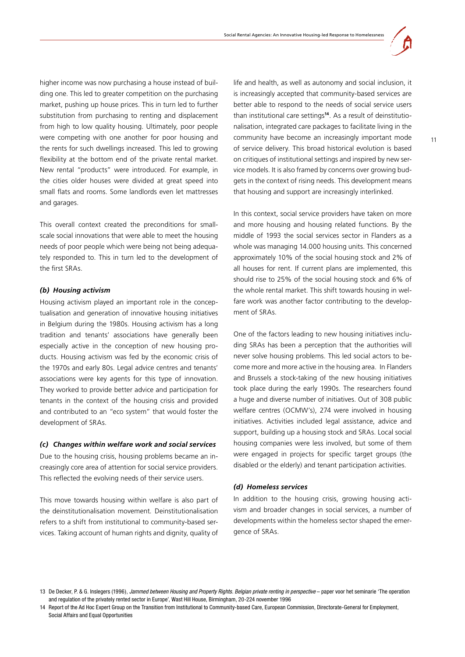higher income was now purchasing a house instead of building one. This led to greater competition on the purchasing market, pushing up house prices. This in turn led to further substitution from purchasing to renting and displacement from high to low quality housing. Ultimately, poor people were competing with one another for poor housing and the rents for such dwellings increased. This led to growing flexibility at the bottom end of the private rental market. New rental "products" were introduced. For example, in the cities older houses were divided at great speed into small flats and rooms. Some landlords even let mattresses and garages.

This overall context created the preconditions for smallscale social innovations that were able to meet the housing needs of poor people which were being not being adequately responded to. This in turn led to the development of the first SRAs.

#### *(b) Housing activism*

Housing activism played an important role in the conceptualisation and generation of innovative housing initiatives in Belgium during the 1980s. Housing activism has a long tradition and tenants' associations have generally been especially active in the conception of new housing products. Housing activism was fed by the economic crisis of the 1970s and early 80s. Legal advice centres and tenants' associations were key agents for this type of innovation. They worked to provide better advice and participation for tenants in the context of the housing crisis and provided and contributed to an "eco system" that would foster the development of SRAs.

#### *(c) Changes within welfare work and social services*

Due to the housing crisis, housing problems became an increasingly core area of attention for social service providers. This reflected the evolving needs of their service users.

This move towards housing within welfare is also part of the deinstitutionalisation movement*.* Deinstitutionalisation refers to a shift from institutional to community-based services. Taking account of human rights and dignity, quality of life and health, as well as autonomy and social inclusion, it is increasingly accepted that community-based services are better able to respond to the needs of social service users than institutional care settings**<sup>14</sup>**. As a result of deinstitutionalisation, integrated care packages to facilitate living in the community have become an increasingly important mode of service delivery. This broad historical evolution is based on critiques of institutional settings and inspired by new service models. It is also framed by concerns over growing budgets in the context of rising needs. This development means that housing and support are increasingly interlinked.

In this context, social service providers have taken on more and more housing and housing related functions. By the middle of 1993 the social services sector in Flanders as a whole was managing 14.000 housing units. This concerned approximately 10% of the social housing stock and 2% of all houses for rent. If current plans are implemented, this should rise to 25% of the social housing stock and 6% of the whole rental market. This shift towards housing in welfare work was another factor contributing to the development of SRAs.

One of the factors leading to new housing initiatives including SRAs has been a perception that the authorities will never solve housing problems. This led social actors to become more and more active in the housing area. In Flanders and Brussels a stock-taking of the new housing initiatives took place during the early 1990s. The researchers found a huge and diverse number of initiatives. Out of 308 public welfare centres (OCMW's), 274 were involved in housing initiatives. Activities included legal assistance, advice and support, building up a housing stock and SRAs. Local social housing companies were less involved, but some of them were engaged in projects for specific target groups (the disabled or the elderly) and tenant participation activities.

#### *(d) Homeless services*

In addition to the housing crisis, growing housing activism and broader changes in social services, a number of developments within the homeless sector shaped the emergence of SRAs.

<sup>13</sup> De Decker, P. & G. Inslegers (1996), *Jammed between Housing and Property Rights. Belgian private renting in perspective* – paper voor het seminarie 'The operation and regulation of the privately rented sector in Europe', Wast Hill House, Birmingham, 20-224 november 1996

<sup>14</sup> Report of the Ad Hoc Expert Group on the Transition from Institutional to Community-based Care, European Commission, Directorate-General for Employment, Social Affairs and Equal Opportunities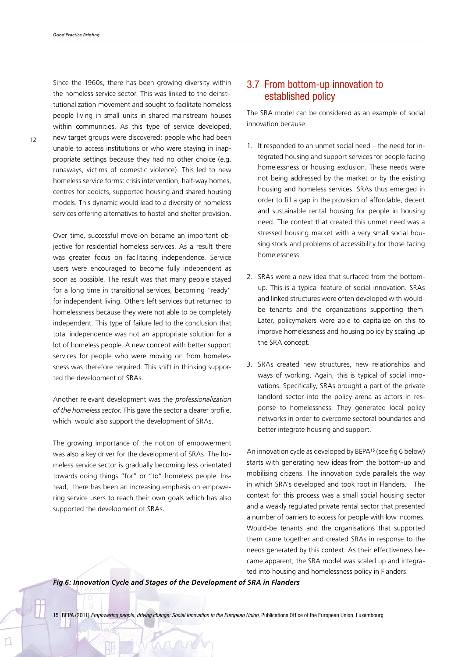<span id="page-11-0"></span>Since the 1960s, there has been growing diversity within the homeless service sector. This was linked to the deinstitutionalization movement and sought to facilitate homeless people living in small units in shared mainstream houses within communities. As this type of service developed, new target groups were discovered: people who had been unable to access institutions or who were staying in inappropriate settings because they had no other choice (e.g. runaways, victims of domestic violence). This led to new homeless service forms: crisis intervention, half-way homes, centres for addicts, supported housing and shared housing models. This dynamic would lead to a diversity of homeless services offering alternatives to hostel and shelter provision.

Over time, successful move-on became an important objective for residential homeless services. As a result there was greater focus on facilitating independence. Service users were encouraged to become fully independent as soon as possible. The result was that many people stayed for a long time in transitional services, becoming "ready" for independent living. Others left services but returned to homelessness because they were not able to be completely independent. This type of failure led to the conclusion that total independence was not an appropriate solution for a lot of homeless people. A new concept with better support services for people who were moving on from homelessness was therefore required. This shift in thinking supported the development of SRAs.

Another relevant development was the *professionalization of the homeless sector*. This gave the sector a clearer profile, which would also support the development of SRAs.

The growing importance of the notion of empowerment was also a key driver for the development of SRAs. The homeless service sector is gradually becoming less orientated towards doing things "for" or "to" homeless people. Instead, there has been an increasing emphasis on empowering service users to reach their own goals which has also supported the development of SRAs.

### 3.7 From bottom-up innovation to established policy

The SRA model can be considered as an example of social innovation because:

- 1. It responded to an unmet social need the need for integrated housing and support services for people facing homelessness or housing exclusion. These needs were not being addressed by the market or by the existing housing and homeless services. SRAs thus emerged in order to fill a gap in the provision of affordable, decent and sustainable rental housing for people in housing need. The context that created this unmet need was a stressed housing market with a very small social housing stock and problems of accessibility for those facing homelessness.
- 2. SRAs were a new idea that surfaced from the bottomup. This is a typical feature of social innovation. SRAs and linked structures were often developed with wouldbe tenants and the organizations supporting them. Later, policymakers were able to capitalize on this to improve homelessness and housing policy by scaling up the SRA concept.
- 3. SRAs created new structures, new relationships and ways of working. Again, this is typical of social innovations. Specifically, SRAs brought a part of the private landlord sector into the policy arena as actors in response to homelessness. They generated local policy networks in order to overcome sectoral boundaries and better integrate housing and support.

An innovation cycle as developed by BEPA**<sup>15</sup>** (see fig 6 below) starts with generating new ideas from the bottom-up and mobilising citizens. The innovation cycle parallels the way in which SRA's developed and took root in Flanders. The context for this process was a small social housing sector and a weakly regulated private rental sector that presented a number of barriers to access for people with low incomes. Would-be tenants and the organisations that supported them came together and created SRAs in response to the needs generated by this context. As their effectiveness became apparent, the SRA model was scaled up and integrated into housing and homelessness policy in Flanders.

*Fig 6: Innovation Cycle and Stages of the Development of SRA in Flanders*

 $Q$ 

15 BEPA (2011) *Empowering people, driving change: Social Innovation in the European Union,* Publications Office of the European Union, Luxembourg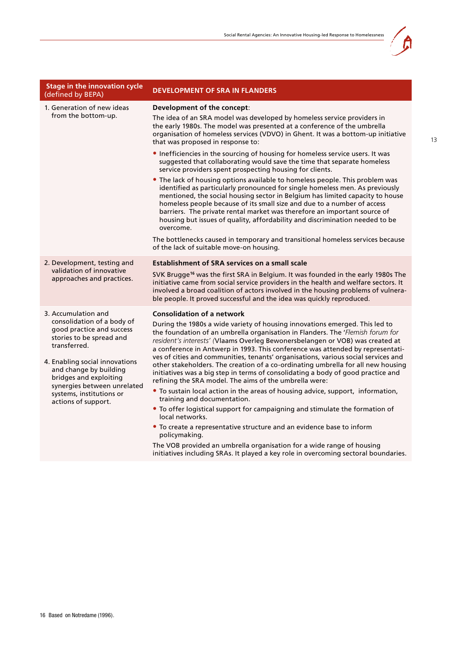| <b>Stage in the innovation cycle</b><br>(defined by BEPA)                                                                                                                                                                                                                                          | <b>DEVELOPMENT OF SRA IN FLANDERS</b>                                                                                                                                                                                                                                                                                                                                                                                                                                                                                                                                                                                                                                                                                                                                                                                                                                                                                                                                                                        |
|----------------------------------------------------------------------------------------------------------------------------------------------------------------------------------------------------------------------------------------------------------------------------------------------------|--------------------------------------------------------------------------------------------------------------------------------------------------------------------------------------------------------------------------------------------------------------------------------------------------------------------------------------------------------------------------------------------------------------------------------------------------------------------------------------------------------------------------------------------------------------------------------------------------------------------------------------------------------------------------------------------------------------------------------------------------------------------------------------------------------------------------------------------------------------------------------------------------------------------------------------------------------------------------------------------------------------|
| 1. Generation of new ideas<br>from the bottom-up.                                                                                                                                                                                                                                                  | Development of the concept:<br>The idea of an SRA model was developed by homeless service providers in<br>the early 1980s. The model was presented at a conference of the umbrella<br>organisation of homeless services (VDVO) in Ghent. It was a bottom-up initiative<br>that was proposed in response to:                                                                                                                                                                                                                                                                                                                                                                                                                                                                                                                                                                                                                                                                                                  |
|                                                                                                                                                                                                                                                                                                    | • Inefficiencies in the sourcing of housing for homeless service users. It was<br>suggested that collaborating would save the time that separate homeless<br>service providers spent prospecting housing for clients.                                                                                                                                                                                                                                                                                                                                                                                                                                                                                                                                                                                                                                                                                                                                                                                        |
|                                                                                                                                                                                                                                                                                                    | • The lack of housing options available to homeless people. This problem was<br>identified as particularly pronounced for single homeless men. As previously<br>mentioned, the social housing sector in Belgium has limited capacity to house<br>homeless people because of its small size and due to a number of access<br>barriers. The private rental market was therefore an important source of<br>housing but issues of quality, affordability and discrimination needed to be<br>overcome.                                                                                                                                                                                                                                                                                                                                                                                                                                                                                                            |
|                                                                                                                                                                                                                                                                                                    | The bottlenecks caused in temporary and transitional homeless services because<br>of the lack of suitable move-on housing.                                                                                                                                                                                                                                                                                                                                                                                                                                                                                                                                                                                                                                                                                                                                                                                                                                                                                   |
| 2. Development, testing and                                                                                                                                                                                                                                                                        | <b>Establishment of SRA services on a small scale</b>                                                                                                                                                                                                                                                                                                                                                                                                                                                                                                                                                                                                                                                                                                                                                                                                                                                                                                                                                        |
| validation of innovative<br>approaches and practices.                                                                                                                                                                                                                                              | SVK Brugge <sup>16</sup> was the first SRA in Belgium. It was founded in the early 1980s The<br>initiative came from social service providers in the health and welfare sectors. It<br>involved a broad coalition of actors involved in the housing problems of vulnera-<br>ble people. It proved successful and the idea was quickly reproduced.                                                                                                                                                                                                                                                                                                                                                                                                                                                                                                                                                                                                                                                            |
| 3. Accumulation and<br>consolidation of a body of<br>good practice and success<br>stories to be spread and<br>transferred.<br>4. Enabling social innovations<br>and change by building<br>bridges and exploiting<br>synergies between unrelated<br>systems, institutions or<br>actions of support. | <b>Consolidation of a network</b><br>During the 1980s a wide variety of housing innovations emerged. This led to<br>the foundation of an umbrella organisation in Flanders. The 'Flemish forum for<br>resident's interests' (Vlaams Overleg Bewonersbelangen or VOB) was created at<br>a conference in Antwerp in 1993. This conference was attended by representati-<br>ves of cities and communities, tenants' organisations, various social services and<br>other stakeholders. The creation of a co-ordinating umbrella for all new housing<br>initiatives was a big step in terms of consolidating a body of good practice and<br>refining the SRA model. The aims of the umbrella were:<br>• To sustain local action in the areas of housing advice, support, information,<br>training and documentation.<br>• To offer logistical support for campaigning and stimulate the formation of<br>local networks.<br>• To create a representative structure and an evidence base to inform<br>policymaking. |
|                                                                                                                                                                                                                                                                                                    | The VOB provided an umbrella organisation for a wide range of housing<br>initiatives including SRAs. It played a key role in overcoming sectoral boundaries.                                                                                                                                                                                                                                                                                                                                                                                                                                                                                                                                                                                                                                                                                                                                                                                                                                                 |

À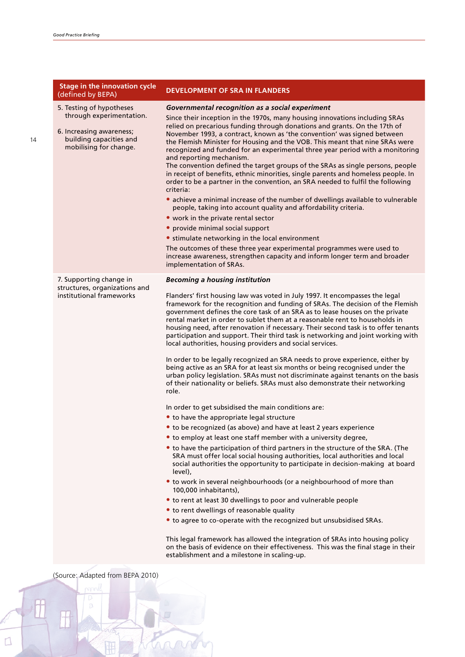|  | <b>Stage in the innovation cycle</b><br>(defined by BEPA)                                                 | <b>DEVELOPMENT OF SRA IN FLANDERS</b>                                                                                                                                                                                                                                                                                                                                                                                                                                                                                                                                                                                                                                                                                                                                                                                                                                                                                                                                                      |  |
|--|-----------------------------------------------------------------------------------------------------------|--------------------------------------------------------------------------------------------------------------------------------------------------------------------------------------------------------------------------------------------------------------------------------------------------------------------------------------------------------------------------------------------------------------------------------------------------------------------------------------------------------------------------------------------------------------------------------------------------------------------------------------------------------------------------------------------------------------------------------------------------------------------------------------------------------------------------------------------------------------------------------------------------------------------------------------------------------------------------------------------|--|
|  | 5. Testing of hypotheses                                                                                  | <b>Governmental recognition as a social experiment</b>                                                                                                                                                                                                                                                                                                                                                                                                                                                                                                                                                                                                                                                                                                                                                                                                                                                                                                                                     |  |
|  | through experimentation.<br>6. Increasing awareness;<br>building capacities and<br>mobilising for change. | Since their inception in the 1970s, many housing innovations including SRAs<br>relied on precarious funding through donations and grants. On the 17th of<br>November 1993, a contract, known as 'the convention' was signed between<br>the Flemish Minister for Housing and the VOB. This meant that nine SRAs were<br>recognized and funded for an experimental three year period with a monitoring<br>and reporting mechanism.<br>The convention defined the target groups of the SRAs as single persons, people<br>in receipt of benefits, ethnic minorities, single parents and homeless people. In<br>order to be a partner in the convention, an SRA needed to fulfil the following<br>criteria:<br>• achieve a minimal increase of the number of dwellings available to vulnerable<br>people, taking into account quality and affordability criteria.<br>• work in the private rental sector<br>• provide minimal social support<br>• stimulate networking in the local environment |  |
|  |                                                                                                           | The outcomes of these three year experimental programmes were used to<br>increase awareness, strengthen capacity and inform longer term and broader<br>implementation of SRAs.                                                                                                                                                                                                                                                                                                                                                                                                                                                                                                                                                                                                                                                                                                                                                                                                             |  |
|  | 7. Supporting change in<br>structures, organizations and<br>institutional frameworks                      | <b>Becoming a housing institution</b>                                                                                                                                                                                                                                                                                                                                                                                                                                                                                                                                                                                                                                                                                                                                                                                                                                                                                                                                                      |  |
|  |                                                                                                           | Flanders' first housing law was voted in July 1997. It encompasses the legal<br>framework for the recognition and funding of SRAs. The decision of the Flemish<br>government defines the core task of an SRA as to lease houses on the private<br>rental market in order to sublet them at a reasonable rent to households in<br>housing need, after renovation if necessary. Their second task is to offer tenants<br>participation and support. Their third task is networking and joint working with<br>local authorities, housing providers and social services.                                                                                                                                                                                                                                                                                                                                                                                                                       |  |
|  |                                                                                                           | In order to be legally recognized an SRA needs to prove experience, either by<br>being active as an SRA for at least six months or being recognised under the<br>urban policy legislation. SRAs must not discriminate against tenants on the basis<br>of their nationality or beliefs. SRAs must also demonstrate their networking<br>role.                                                                                                                                                                                                                                                                                                                                                                                                                                                                                                                                                                                                                                                |  |
|  |                                                                                                           | In order to get subsidised the main conditions are:                                                                                                                                                                                                                                                                                                                                                                                                                                                                                                                                                                                                                                                                                                                                                                                                                                                                                                                                        |  |
|  |                                                                                                           | • to have the appropriate legal structure                                                                                                                                                                                                                                                                                                                                                                                                                                                                                                                                                                                                                                                                                                                                                                                                                                                                                                                                                  |  |
|  |                                                                                                           | • to be recognized (as above) and have at least 2 years experience                                                                                                                                                                                                                                                                                                                                                                                                                                                                                                                                                                                                                                                                                                                                                                                                                                                                                                                         |  |
|  |                                                                                                           | • to employ at least one staff member with a university degree,                                                                                                                                                                                                                                                                                                                                                                                                                                                                                                                                                                                                                                                                                                                                                                                                                                                                                                                            |  |
|  |                                                                                                           | • to have the participation of third partners in the structure of the SRA. (The<br>SRA must offer local social housing authorities, local authorities and local<br>social authorities the opportunity to participate in decision-making at board<br>level),                                                                                                                                                                                                                                                                                                                                                                                                                                                                                                                                                                                                                                                                                                                                |  |
|  |                                                                                                           | • to work in several neighbourhoods (or a neighbourhood of more than<br>100,000 inhabitants),                                                                                                                                                                                                                                                                                                                                                                                                                                                                                                                                                                                                                                                                                                                                                                                                                                                                                              |  |
|  |                                                                                                           | • to rent at least 30 dwellings to poor and vulnerable people                                                                                                                                                                                                                                                                                                                                                                                                                                                                                                                                                                                                                                                                                                                                                                                                                                                                                                                              |  |
|  |                                                                                                           | • to rent dwellings of reasonable quality                                                                                                                                                                                                                                                                                                                                                                                                                                                                                                                                                                                                                                                                                                                                                                                                                                                                                                                                                  |  |
|  |                                                                                                           | • to agree to co-operate with the recognized but unsubsidised SRAs.                                                                                                                                                                                                                                                                                                                                                                                                                                                                                                                                                                                                                                                                                                                                                                                                                                                                                                                        |  |
|  |                                                                                                           | This legal framework has allowed the integration of SRAs into housing policy<br>on the basis of evidence on their effectiveness. This was the final stage in their<br>establishment and a milestone in scaling-up.                                                                                                                                                                                                                                                                                                                                                                                                                                                                                                                                                                                                                                                                                                                                                                         |  |

(Source: Adapted from BEPA 2010)

H

14

用

H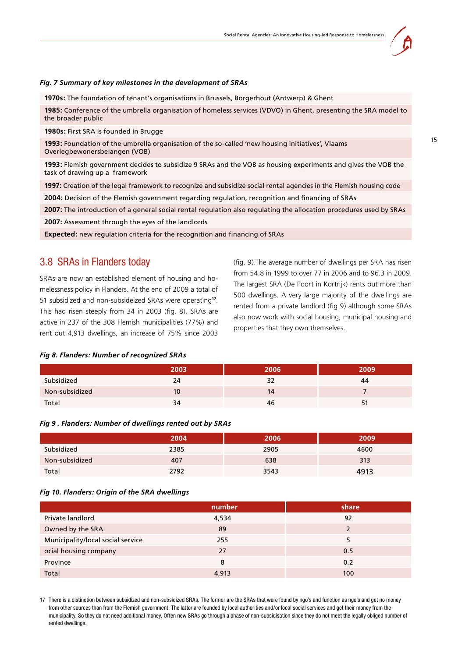<span id="page-14-0"></span>*Fig. 7 Summary of key milestones in the development of SRAs*

**1970s:** The foundation of tenant's organisations in Brussels, Borgerhout (Antwerp) & Ghent

**1985:** Conference of the umbrella organisation of homeless services (VDVO) in Ghent, presenting the SRA model to the broader public

**1980s:** First SRA is founded in Brugge

**1993:** Foundation of the umbrella organisation of the so-called 'new housing initiatives', Vlaams Overlegbewonersbelangen (VOB)

**1993:** Flemish government decides to subsidize 9 SRAs and the VOB as housing experiments and gives the VOB the task of drawing up a framework

**1997:** Creation of the legal framework to recognize and subsidize social rental agencies in the Flemish housing code

**2004:** Decision of the Flemish government regarding regulation, recognition and financing of SRAs

**2007:** The introduction of a general social rental regulation also regulating the allocation procedures used by SRAs

**2007:** Assessment through the eyes of the landlords

**Expected:** new regulation criteria for the recognition and financing of SRAs

### 3.8 SRAs in Flanders today

SRAs are now an established element of housing and homelessness policy in Flanders. At the end of 2009 a total of 51 subsidized and non-subsideized SRAs were operating**17**. This had risen steeply from 34 in 2003 (fig. 8). SRAs are active in 237 of the 308 Flemish municipalities (77%) and rent out 4,913 dwellings, an increase of 75% since 2003 (fig. 9).The average number of dwellings per SRA has risen from 54.8 in 1999 to over 77 in 2006 and to 96.3 in 2009. The largest SRA (De Poort in Kortrijk) rents out more than 500 dwellings. A very large majority of the dwellings are rented from a private landlord (fig 9) although some SRAs also now work with social housing, municipal housing and properties that they own themselves.

#### *Fig 8. Flanders: Number of recognized SRAs*

|                | 2003 | 2006. | 2009 |
|----------------|------|-------|------|
| Subsidized     | 24   | 32    | 44   |
| Non-subsidized | 10   | 14    |      |
| Total          | 34   | 46    |      |

#### *Fig 9 . Flanders: Number of dwellings rented out by SRAs*

|                | 2004 | 2006 | 2009 |
|----------------|------|------|------|
| Subsidized     | 2385 | 2905 | 4600 |
| Non-subsidized | 407  | 638  | 313  |
| Total          | 2792 | 3543 | 4913 |

#### *Fig 10. Flanders: Origin of the SRA dwellings*

|                                   | number | share          |
|-----------------------------------|--------|----------------|
| Private landlord                  | 4,534  | 92             |
| Owned by the SRA                  | 89     | $\overline{2}$ |
| Municipality/local social service | 255    | 5              |
| ocial housing company             | 27     | 0.5            |
| Province                          | 8      | 0.2            |
| Total                             | 4,913  | 100            |

17 There is a distinction between subsidized and non-subsidized SRAs. The former are the SRAs that were found by ngo's and function as ngo's and get no money from other sources than from the Flemish government. The latter are founded by local authorities and/or local social services and get their money from the municipality. So they do not need additional money. Often new SRAs go through a phase of non-subsidisation since they do not meet the legally obliged number of rented dwellings.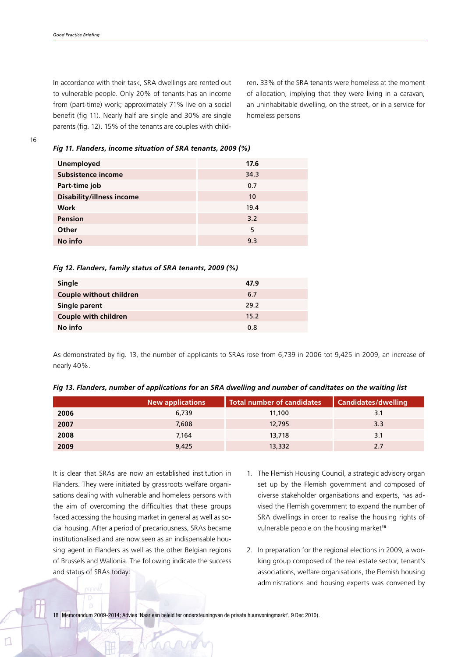In accordance with their task, SRA dwellings are rented out to vulnerable people. Only 20% of tenants has an income from (part-time) work; approximately 71% live on a social benefit (fig 11). Nearly half are single and 30% are single parents (fig. 12). 15% of the tenants are couples with children**.** 33% of the SRA tenants were homeless at the moment of allocation, implying that they were living in a caravan, an uninhabitable dwelling, on the street, or in a service for homeless persons

#### *Fig 11. Flanders, income situation of SRA tenants, 2009 (%)*

| <b>Unemployed</b>                | 17.6 |
|----------------------------------|------|
| <b>Subsistence income</b>        | 34.3 |
| Part-time job                    | 0.7  |
| <b>Disability/illness income</b> | 10   |
| <b>Work</b>                      | 19.4 |
| <b>Pension</b>                   | 3.2  |
| Other                            | 5    |
| No info                          | 9.3  |

#### *Fig 12. Flanders, family status of SRA tenants, 2009 (%)*

| Single                         | 47.9 |
|--------------------------------|------|
| <b>Couple without children</b> | 6.7  |
| Single parent                  | 29.2 |
| <b>Couple with children</b>    | 15.2 |
| No info                        | 0.8  |

As demonstrated by fig. 13, the number of applicants to SRAs rose from 6,739 in 2006 tot 9,425 in 2009, an increase of nearly 40%.

|  |  |  |  |  |  |  |  |  |  |  |  | Fig 13. Flanders, number of applications for an SRA dwelling and number of canditates on the waiting list |  |  |  |
|--|--|--|--|--|--|--|--|--|--|--|--|-----------------------------------------------------------------------------------------------------------|--|--|--|
|--|--|--|--|--|--|--|--|--|--|--|--|-----------------------------------------------------------------------------------------------------------|--|--|--|

|      | <b>New applications</b> | <b>Total number of candidates</b> | <b>Candidates/dwelling</b> |
|------|-------------------------|-----------------------------------|----------------------------|
| 2006 | 6.739                   | 11.100                            |                            |
| 2007 | 7.608                   | 12,795                            | 3.3                        |
| 2008 | 7.164                   | 13,718                            | 3.1                        |
| 2009 | 9,425                   | 13,332                            | 2.7                        |

It is clear that SRAs are now an established institution in Flanders. They were initiated by grassroots welfare organisations dealing with vulnerable and homeless persons with the aim of overcoming the difficulties that these groups faced accessing the housing market in general as well as social housing. After a period of precariousness, SRAs became institutionalised and are now seen as an indispensable housing agent in Flanders as well as the other Belgian regions of Brussels and Wallonia. The following indicate the success and status of SRAs today:

- 1. The Flemish Housing Council, a strategic advisory organ set up by the Flemish government and composed of diverse stakeholder organisations and experts, has advised the Flemish government to expand the number of SRA dwellings in order to realise the housing rights of vulnerable people on the housing market**<sup>18</sup>**
- 2. In preparation for the regional elections in 2009, a working group composed of the real estate sector, tenant's associations, welfare organisations, the Flemish housing administrations and housing experts was convened by

18 Memorandum 2009-2014; Advies 'Naar een beleid ter ondersteuningvan de private huurwoningmarkt', 9 Dec 2010).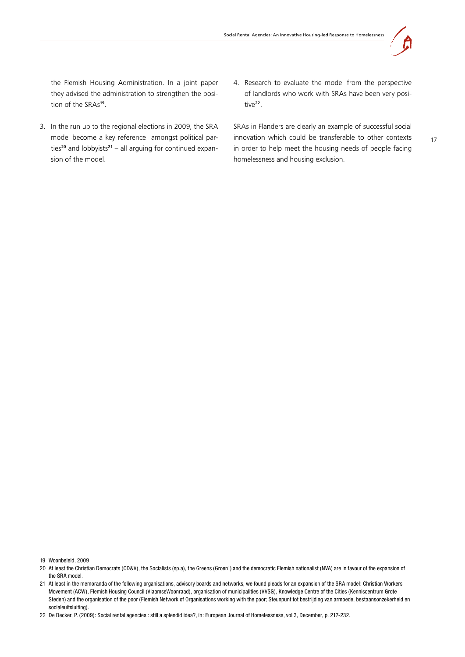

17

the Flemish Housing Administration. In a joint paper they advised the administration to strengthen the position of the SRAs**19**.

- 3. In the run up to the regional elections in 2009, the SRA model become a key reference amongst political parties**20** and lobbyists**21** – all arguing for continued expansion of the model.
- 4. Research to evaluate the model from the perspective of landlords who work with SRAs have been very positive**22**.

SRAs in Flanders are clearly an example of successful social innovation which could be transferable to other contexts in order to help meet the housing needs of people facing homelessness and housing exclusion.

19 Woonbeleid, 2009

<sup>20</sup> At least the Christian Democrats (CD&V), the Socialists (sp.a), the Greens (Groen!) and the democratic Flemish nationalist (NVA) are in favour of the expansion of the SRA model.

<sup>21</sup> At least in the memoranda of the following organisations, advisory boards and networks, we found pleads for an expansion of the SRA model: Christian Workers Movement (ACW), Flemish Housing Council (VlaamseWoonraad), organisation of municipalities (VVSG), Knowledge Centre of the Cities (Kenniscentrum Grote Steden) and the organisation of the poor (Flemish Network of Organisations working with the poor; Steunpunt tot bestrijding van armoede, bestaansonzekerheid en socialeuitsluiting).

<sup>22</sup> De Decker, P. (2009): Social rental agencies : still a splendid idea?, in: European Journal of Homelessness, vol 3, December, p. 217-232.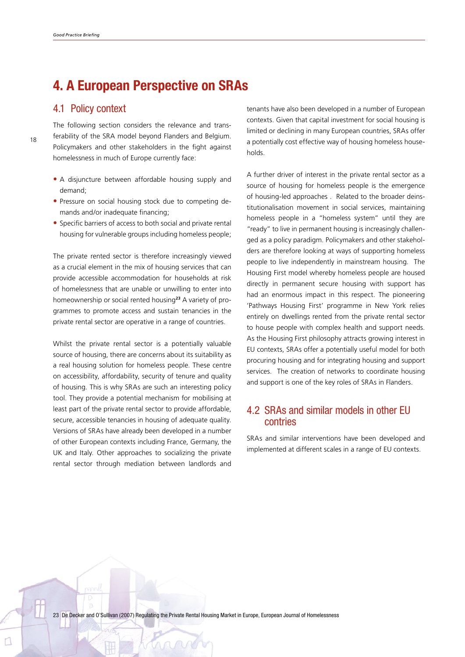## <span id="page-17-0"></span>**4. A European Perspective on SRAs**

### 4.1 Policy context

18

The following section considers the relevance and transferability of the SRA model beyond Flanders and Belgium. Policymakers and other stakeholders in the fight against homelessness in much of Europe currently face:

- A disjuncture between affordable housing supply and demand;
- Pressure on social housing stock due to competing demands and/or inadequate financing:
- Specific barriers of access to both social and private rental housing for vulnerable groups including homeless people;

The private rented sector is therefore increasingly viewed as a crucial element in the mix of housing services that can provide accessible accommodation for households at risk of homelessness that are unable or unwilling to enter into homeownership or social rented housing**23** A variety of programmes to promote access and sustain tenancies in the private rental sector are operative in a range of countries.

Whilst the private rental sector is a potentially valuable source of housing, there are concerns about its suitability as a real housing solution for homeless people. These centre on accessibility, affordability, security of tenure and quality of housing. This is why SRAs are such an interesting policy tool. They provide a potential mechanism for mobilising at least part of the private rental sector to provide affordable, secure, accessible tenancies in housing of adequate quality. Versions of SRAs have already been developed in a number of other European contexts including France, Germany, the UK and Italy. Other approaches to socializing the private rental sector through mediation between landlords and tenants have also been developed in a number of European contexts. Given that capital investment for social housing is limited or declining in many European countries, SRAs offer a potentially cost effective way of housing homeless households.

A further driver of interest in the private rental sector as a source of housing for homeless people is the emergence of housing-led approaches . Related to the broader deinstitutionalisation movement in social services, maintaining homeless people in a "homeless system" until they are "ready" to live in permanent housing is increasingly challenged as a policy paradigm. Policymakers and other stakeholders are therefore looking at ways of supporting homeless people to live independently in mainstream housing. The Housing First model whereby homeless people are housed directly in permanent secure housing with support has had an enormous impact in this respect. The pioneering 'Pathways Housing First' programme in New York relies entirely on dwellings rented from the private rental sector to house people with complex health and support needs. As the Housing First philosophy attracts growing interest in EU contexts, SRAs offer a potentially useful model for both procuring housing and for integrating housing and support services. The creation of networks to coordinate housing and support is one of the key roles of SRAs in Flanders.

## 4.2 SRAs and similar models in other EU contries

SRAs and similar interventions have been developed and implemented at different scales in a range of EU contexts.

23 De Decker and O'Sullivan (2007) Regulating the Private Rental Housing Market in Europe, European Journal of Homelessness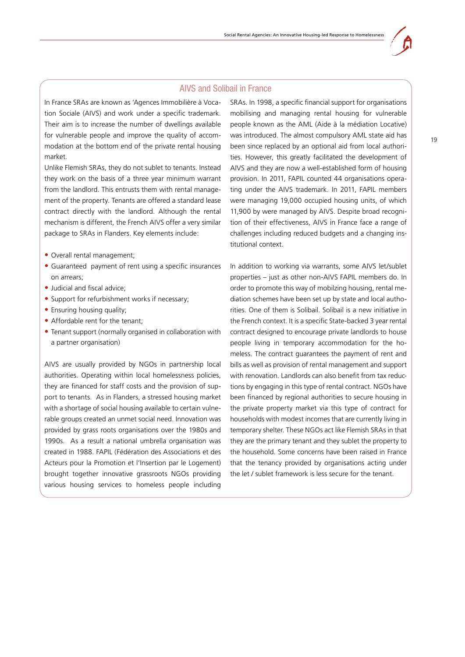#### AIVS and Solibail in France

In France SRAs are known as 'Agences Immobilière à Vocation Sociale (AIVS) and work under a specific trademark. Their aim is to increase the number of dwellings available for vulnerable people and improve the quality of accommodation at the bottom end of the private rental housing market.

Unlike Flemish SRAs, they do not sublet to tenants. Instead they work on the basis of a three year minimum warrant from the landlord. This entrusts them with rental management of the property. Tenants are offered a standard lease contract directly with the landlord. Although the rental mechanism is different, the French AIVS offer a very similar package to SRAs in Flanders. Key elements include:

- **•** Overall rental management;
- **•** Guaranteed payment of rent using a specific insurances on arrears;
- Judicial and fiscal advice;
- Support for refurbishment works if necessary;
- **•** Ensuring housing quality;
- Affordable rent for the tenant;
- Tenant support (normally organised in collaboration with a partner organisation)

AIVS are usually provided by NGOs in partnership local authorities. Operating within local homelessness policies, they are financed for staff costs and the provision of support to tenants. As in Flanders, a stressed housing market with a shortage of social housing available to certain vulnerable groups created an unmet social need. Innovation was provided by grass roots organisations over the 1980s and 1990s. As a result a national umbrella organisation was created in 1988. FAPIL (Fédération des Associations et des Acteurs pour la Promotion et l'Insertion par le Logement) brought together innovative grassroots NGOs providing various housing services to homeless people including

SRAs. In 1998, a specific financial support for organisations mobilising and managing rental housing for vulnerable people known as the AML (Aide à la médiation Locative) was introduced. The almost compulsory AML state aid has been since replaced by an optional aid from local authorities. However, this greatly facilitated the development of AIVS and they are now a well-established form of housing provision. In 2011, FAPIL counted 44 organisations operating under the AIVS trademark. In 2011, FAPIL members were managing 19,000 occupied housing units, of which 11,900 by were managed by AIVS. Despite broad recognition of their effectiveness, AIVS in France face a range of challenges including reduced budgets and a changing institutional context.

In addition to working via warrants, some AIVS let/sublet properties – just as other non-AIVS FAPIL members do. In order to promote this way of mobilzing housing, rental mediation schemes have been set up by state and local authorities. One of them is Solibail. Solibail is a new initiative in the French context. It is a specific State-backed 3 year rental contract designed to encourage private landlords to house people living in temporary accommodation for the homeless. The contract guarantees the payment of rent and bills as well as provision of rental management and support with renovation. Landlords can also benefit from tax reductions by engaging in this type of rental contract. NGOs have been financed by regional authorities to secure housing in the private property market via this type of contract for households with modest incomes that are currently living in temporary shelter. These NGOs act like Flemish SRAs in that they are the primary tenant and they sublet the property to the household. Some concerns have been raised in France that the tenancy provided by organisations acting under the let / sublet framework is less secure for the tenant.

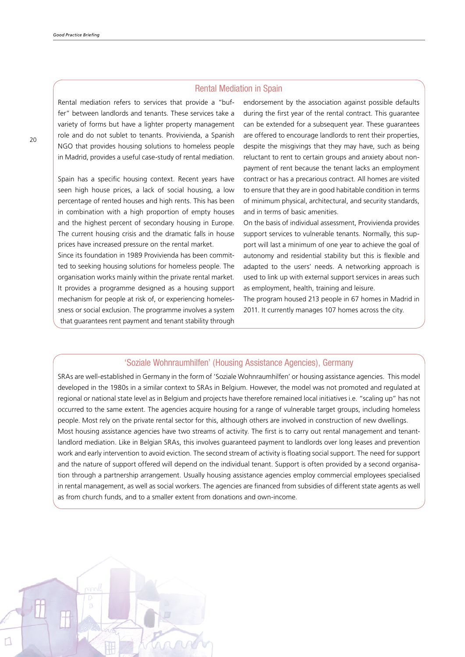#### Rental Mediation in Spain

Rental mediation refers to services that provide a "buffer" between landlords and tenants. These services take a variety of forms but have a lighter property management role and do not sublet to tenants. Provivienda, a Spanish NGO that provides housing solutions to homeless people in Madrid, provides a useful case-study of rental mediation.

Spain has a specific housing context. Recent years have seen high house prices, a lack of social housing, a low percentage of rented houses and high rents. This has been in combination with a high proportion of empty houses and the highest percent of secondary housing in Europe. The current housing crisis and the dramatic falls in house prices have increased pressure on the rental market.

Since its foundation in 1989 Provivienda has been committed to seeking housing solutions for homeless people. The organisation works mainly within the private rental market. It provides a programme designed as a housing support mechanism for people at risk of, or experiencing homelessness or social exclusion. The programme involves a system that guarantees rent payment and tenant stability through

endorsement by the association against possible defaults during the first year of the rental contract. This guarantee can be extended for a subsequent year. These guarantees are offered to encourage landlords to rent their properties, despite the misgivings that they may have, such as being reluctant to rent to certain groups and anxiety about nonpayment of rent because the tenant lacks an employment contract or has a precarious contract. All homes are visited to ensure that they are in good habitable condition in terms of minimum physical, architectural, and security standards, and in terms of basic amenities.

On the basis of individual assessment, Provivienda provides support services to vulnerable tenants. Normally, this support will last a minimum of one year to achieve the goal of autonomy and residential stability but this is flexible and adapted to the users' needs. A networking approach is used to link up with external support services in areas such as employment, health, training and leisure.

The program housed 213 people in 67 homes in Madrid in 2011. It currently manages 107 homes across the city.

### 'Soziale Wohnraumhilfen' (Housing Assistance Agencies), Germany

SRAs are well-established in Germany in the form of 'Soziale Wohnraumhilfen' or housing assistance agencies.This model developed in the 1980s in a similar context to SRAs in Belgium. However, the model was not promoted and regulated at regional or national state level as in Belgium and projects have therefore remained local initiatives i.e. "scaling up" has not occurred to the same extent. The agencies acquire housing for a range of vulnerable target groups, including homeless people. Most rely on the private rental sector for this, although others are involved in construction of new dwellings. Most housing assistance agencies have two streams of activity. The first is to carry out rental management and tenantlandlord mediation. Like in Belgian SRAs, this involves guaranteed payment to landlords over long leases and prevention work and early intervention to avoid eviction. The second stream of activity is floating social support. The need for support and the nature of support offered will depend on the individual tenant. Support is often provided by a second organisation through a partnership arrangement. Usually housing assistance agencies employ commercial employees specialised in rental management, as well as social workers. The agencies are financed from subsidies of different state agents as well as from church funds, and to a smaller extent from donations and own-income.

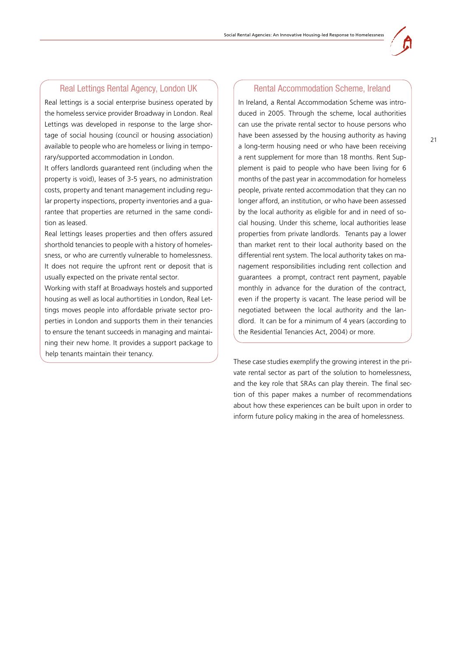

### Real Lettings Rental Agency, London UK

Real lettings is a social enterprise business operated by the homeless service provider Broadway in London. Real Lettings was developed in response to the large shortage of social housing (council or housing association) available to people who are homeless or living in temporary/supported accommodation in London.

It offers landlords guaranteed rent (including when the property is void), leases of 3-5 years, no administration costs, property and tenant management including regular property inspections, property inventories and a guarantee that properties are returned in the same condition as leased.

Real lettings leases properties and then offers assured shorthold tenancies to people with a history of homelessness, or who are currently vulnerable to homelessness. It does not require the upfront rent or deposit that is usually expected on the private rental sector.

Working with staff at Broadways hostels and supported housing as well as local authortities in London, Real Lettings moves people into affordable private sector properties in London and supports them in their tenancies to ensure the tenant succeeds in managing and maintaining their new home. It provides a support package to help tenants maintain their tenancy.

#### Rental Accommodation Scheme, Ireland

In Ireland, a Rental Accommodation Scheme was introduced in 2005. Through the scheme, local authorities can use the private rental sector to house persons who have been assessed by the housing authority as having a long-term housing need or who have been receiving a rent supplement for more than 18 months. Rent Supplement is paid to people who have been living for 6 months of the past year in accommodation for homeless people, private rented accommodation that they can no longer afford, an institution, or who have been assessed by the local authority as eligible for and in need of social housing. Under this scheme, local authorities lease properties from private landlords. Tenants pay a lower than market rent to their local authority based on the differential rent system. The local authority takes on management responsibilities including rent collection and guarantees a prompt, contract rent payment, payable monthly in advance for the duration of the contract, even if the property is vacant. The lease period will be negotiated between the local authority and the landlord. It can be for a minimum of 4 years (according to the Residential Tenancies Act, 2004) or more.

These case studies exemplify the growing interest in the private rental sector as part of the solution to homelessness, and the key role that SRAs can play therein. The final section of this paper makes a number of recommendations about how these experiences can be built upon in order to inform future policy making in the area of homelessness.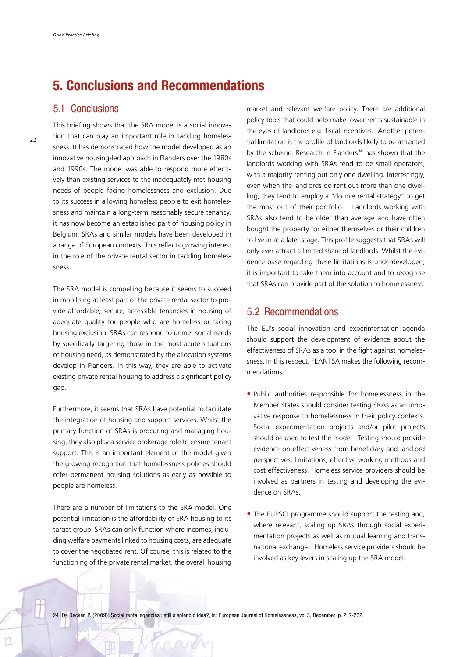## <span id="page-21-0"></span>**5. Conclusions and Recommendations**

### 5.1 Conclusions

This briefing shows that the SRA model is a social innovation that can play an important role in tackling homelessness. It has demonstrated how the model developed as an innovative housing-led approach in Flanders over the 1980s and 1990s. The model was able to respond more effectively than existing services to the inadequately met housing needs of people facing homelessness and exclusion. Due to its success in allowing homeless people to exit homelessness and maintain a long-term reasonably secure tenancy, it has now become an established part of housing policy in Belgium. SRAs and similar models have been developed in a range of European contexts. This reflects growing interest in the role of the private rental sector in tackling homelessness.

The SRA model is compelling because it seems to succeed in mobilising at least part of the private rental sector to provide affordable, secure, accessible tenancies in housing of adequate quality for people who are homeless or facing housing exclusion. SRAs can respond to unmet social needs by specifically targeting those in the most acute situations of housing need, as demonstrated by the allocation systems develop in Flanders. In this way, they are able to activate existing private rental housing to address a significant policy gap.

Furthermore, it seems that SRAs have potential to facilitate the integration of housing and support services. Whilst the primary function of SRAs is procuring and managing housing, they also play a service brokerage role to ensure tenant support. This is an important element of the model given the growing recognition that homelessness policies should offer permanent housing solutions as early as possible to people are homeless.

There are a number of limitations to the SRA model. One potential limitation is the affordability of SRA housing to its target group. SRAs can only function where incomes, including welfare payments linked to housing costs, are adequate to cover the negotiated rent. Of course, this is related to the functioning of the private rental market, the overall housing market and relevant welfare policy. There are additional policy tools that could help make lower rents sustainable in the eyes of landlords e.g. fiscal incentives. Another potential limitation is the profile of landlords likely to be attracted by the scheme. Research in Flanders**<sup>24</sup>** has shown that the landlords working with SRAs tend to be small operators, with a majority renting out only one dwelling. Interestingly, even when the landlords do rent out more than one dwelling, they tend to employ a "double rental strategy" to get the most out of their portfolio. Landlords working with SRAs also tend to be older than average and have often bought the property for either themselves or their children to live in at a later stage. This profile suggests that SRAs will only ever attract a limited share of landlords. Whilst the evidence base regarding these limitations is underdeveloped, it is important to take them into account and to recognise that SRAs can provide part of the solution to homelessness.

### 5.2 Recommendations

The EU's social innovation and experimentation agenda should support the development of evidence about the effectiveness of SRAs as a tool in the fight against homelessness. In this respect, FEANTSA makes the following recommendations:

- **•** Public authorities responsible for homelessness in the Member States should consider testing SRAs as an innovative response to homelessness in their policy contexts. Social experimentation projects and/or pilot projects should be used to test the model. Testing should provide evidence on effectiveness from beneficiary and landlord perspectives, limitations, effective working methods and cost effectiveness. Homeless service providers should be involved as partners in testing and developing the evidence on SRAs.
- The EUPSCI programme should support the testing and, where relevant, scaling up SRAs through social experimentation projects as well as mutual learning and transnational exchange. Homeless service providers should be involved as key levers in scaling up the SRA model.

24 De Decker, P. (2009): Social rental agencies : still a splendid idea?, in: European Journal of Homelessness, vol 3, December, p. 217-232.

 $Q \cap Q$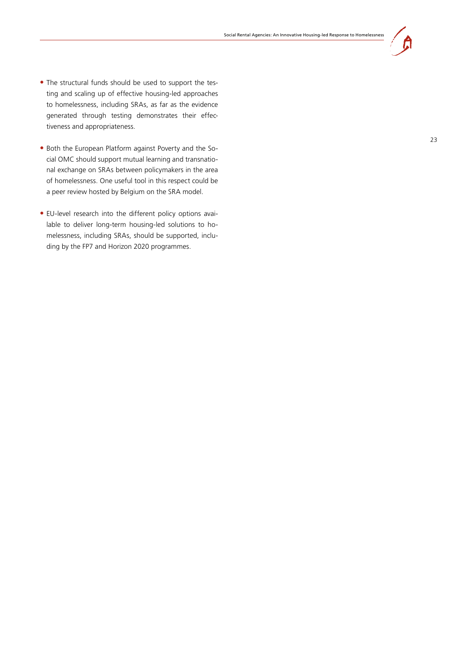

- The structural funds should be used to support the testing and scaling up of effective housing-led approaches to homelessness, including SRAs, as far as the evidence generated through testing demonstrates their effectiveness and appropriateness.
- **•** Both the European Platform against Poverty and the Social OMC should support mutual learning and transnatio nal exchange on SRAs between policymakers in the area of homelessness. One useful tool in this respect could be a peer review hosted by Belgium on the SRA model.
- EU-level research into the different policy options available to deliver long-term housing-led solutions to homelessness, including SRAs, should be supported, inclu ding by the FP7 and Horizon 2020 programmes.